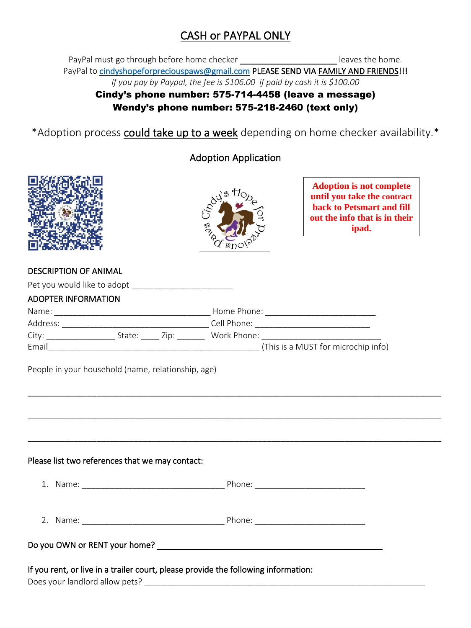# CASH or PAYPAL ONLY

PayPal must go through before home checker **Example 20** leaves the home. PayPal to [cindyshopeforpreciouspaws@gmail.com](mailto:cindyshopeforpreciouspaws@gmail.com) PLEASE SEND VIA FAMILY AND FRIENDS!!! *If you pay by Paypal, the fee is \$106.00 if paid by cash it is \$100.00*

### Cindy's phone number: 575-714-4458 (leave a message) Wendy's phone number: 575-218-2460 (text only)

\*Adoption process could take up to a week depending on home checker availability.\*

## Adoption Application





**Adoption is not complete until you take the contract back to Petsmart and fill out the info that is in their ipad.**

#### DESCRIPTION OF ANIMAL

| <b>ADOPTER INFORMATION</b>                                                         |                                                                                                                |
|------------------------------------------------------------------------------------|----------------------------------------------------------------------------------------------------------------|
|                                                                                    |                                                                                                                |
|                                                                                    |                                                                                                                |
|                                                                                    | City: _________________________State: ________ Zip: ______________Work Phone: ________________________________ |
|                                                                                    |                                                                                                                |
| People in your household (name, relationship, age)                                 |                                                                                                                |
|                                                                                    |                                                                                                                |
| Please list two references that we may contact:                                    |                                                                                                                |
|                                                                                    |                                                                                                                |
|                                                                                    |                                                                                                                |
|                                                                                    |                                                                                                                |
| If you rent, or live in a trailer court, please provide the following information: |                                                                                                                |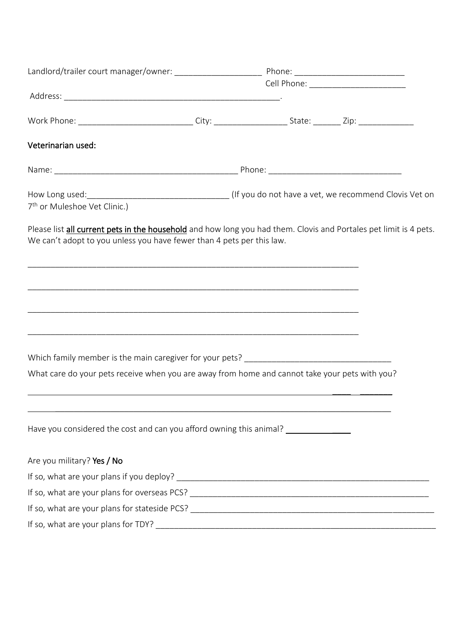| Veterinarian used:                                                                                                                                                                         |  |  |  |  |
|--------------------------------------------------------------------------------------------------------------------------------------------------------------------------------------------|--|--|--|--|
|                                                                                                                                                                                            |  |  |  |  |
| 7 <sup>th</sup> or Muleshoe Vet Clinic.)                                                                                                                                                   |  |  |  |  |
| Please list all current pets in the household and how long you had them. Clovis and Portales pet limit is 4 pets.<br>We can't adopt to you unless you have fewer than 4 pets per this law. |  |  |  |  |
|                                                                                                                                                                                            |  |  |  |  |
| <u> 1989 - Johann Stoff, deutscher Stoff, der Stoff, der Stoff, der Stoff, der Stoff, der Stoff, der Stoff, der S</u>                                                                      |  |  |  |  |
|                                                                                                                                                                                            |  |  |  |  |
|                                                                                                                                                                                            |  |  |  |  |
| What care do your pets receive when you are away from home and cannot take your pets with you?                                                                                             |  |  |  |  |
|                                                                                                                                                                                            |  |  |  |  |
| Have you considered the cost and can you afford owning this animal? _____________                                                                                                          |  |  |  |  |
| Are you military? Yes / No                                                                                                                                                                 |  |  |  |  |
|                                                                                                                                                                                            |  |  |  |  |
|                                                                                                                                                                                            |  |  |  |  |
|                                                                                                                                                                                            |  |  |  |  |
|                                                                                                                                                                                            |  |  |  |  |
|                                                                                                                                                                                            |  |  |  |  |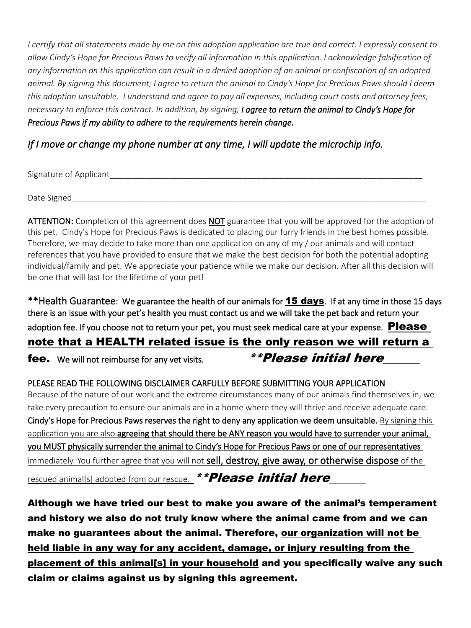*I certify that all statements made by me on this adoption application are true and correct. I expressly consent to allow Cindy's Hope for Precious Paws to verify all information in this application. I acknowledge falsification of any information on this application can result in a denied adoption of an animal or confiscation of an adopted animal. By signing this document, I agree to return the animal to Cindy's Hope for Precious Paws should I deem this adoption unsuitable. I understand and agree to pay all expenses, including court costs and attorney fees, necessary to enforce this contract. In addition, by signing, I agree to return the animal to Cindy's Hope for Precious Paws if my ability to adhere to the requirements herein change.* 

### *If I move or change my phone number at any time, I will update the microchip info.*

Signature of Applicant Theorem and the set of  $\sim$ 

Date Signed

ATTENTION: Completion of this agreement does NOT guarantee that you will be approved for the adoption of this pet. Cindy's Hope for Precious Paws is dedicated to placing our furry friends in the best homes possible. Therefore, we may decide to take more than one application on any of my / our animals and will contact references that you have provided to ensure that we make the best decision for both the potential adopting individual/family and pet. We appreciate your patience while we make our decision. After all this decision will be one that will last for the lifetime of your pet!

\*\*Health Guarantee: We guarantee the health of our animals for **15 days**. If at any time in those 15 days there is an issue with your pet's health you must contact us and we will take the pet back and return your adoption fee. If you choose not to return your pet, you must seek medical care at your expense. **Please** note that a HEALTH related issue is the only reason we will return a **fee.** We will not reimburse for any vet visits.  $* * Please$  initial here

#### PLEASE READ THE FOLLOWING DISCLAIMER CARFULLY BEFORE SUBMITTING YOUR APPLICATION

Because of the nature of our work and the extreme circumstances many of our animals find themselves in, we take every precaution to ensure our animals are in a home where they will thrive and receive adequate care. Cindy's Hope for Precious Paws reserves the right to deny any application we deem unsuitable. By signing this application you are also agreeing that should there be ANY reason you would have to surrender your animal, you MUST physically surrender the animal to Cindy's Hope for Precious Paws or one of our representatives immediately. You further agree that you will not sell, destroy, give away, or otherwise dispose of the

rescued animal[s] adopted from our rescue. \*\* Please initial here

Although we have tried our best to make you aware of the animal's temperament and history we also do not truly know where the animal came from and we can make no guarantees about the animal. Therefore, our organization will not be held liable in any way for any accident, damage, or injury resulting from the placement of this animal[s] in your household and you specifically waive any such claim or claims against us by signing this agreement.